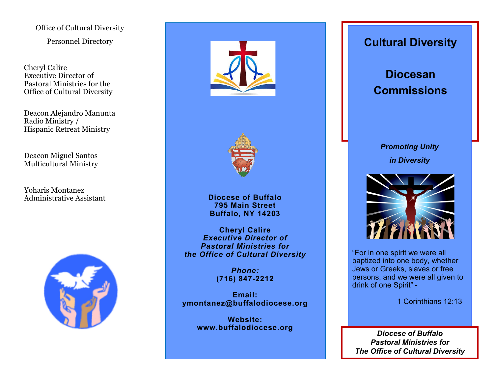Office of Cultural Diversity

Personnel Directory

Cheryl Calire Executive Director of Pastoral Ministries for the Office of Cultural Diversity

Deacon Alejandro Manunta Radio Ministry / Hispanic Retreat Ministry

Deacon Miguel Santos Multicultural Ministry

Yoharis Montanez Administrative Assistant







**Diocese of Buffalo 795 Main Street Buffalo, NY 14203**

**Cheryl Calire** *Executive Director of Pastoral Ministries for the Office of Cultural Diversity*

> *Phone:* **(716) 847-2212**

**Email: ymontanez@buffalodiocese.org**

> **Website: www.buffalodiocese.org**

## **Cultural Diversity Cultural Diversity**

**Diocesan Commissions Diocesan Commissions**

# *Promoting Unity in Diversity*



"For in one spirit we were all baptized into one body, whether Jews or Greeks, slaves or free persons, and we were all given to drink of one Spirit" -

1 Corinthians 12:13

*Diocese of Buffalo Pastoral Ministries for The Office of Cultural Diversity*